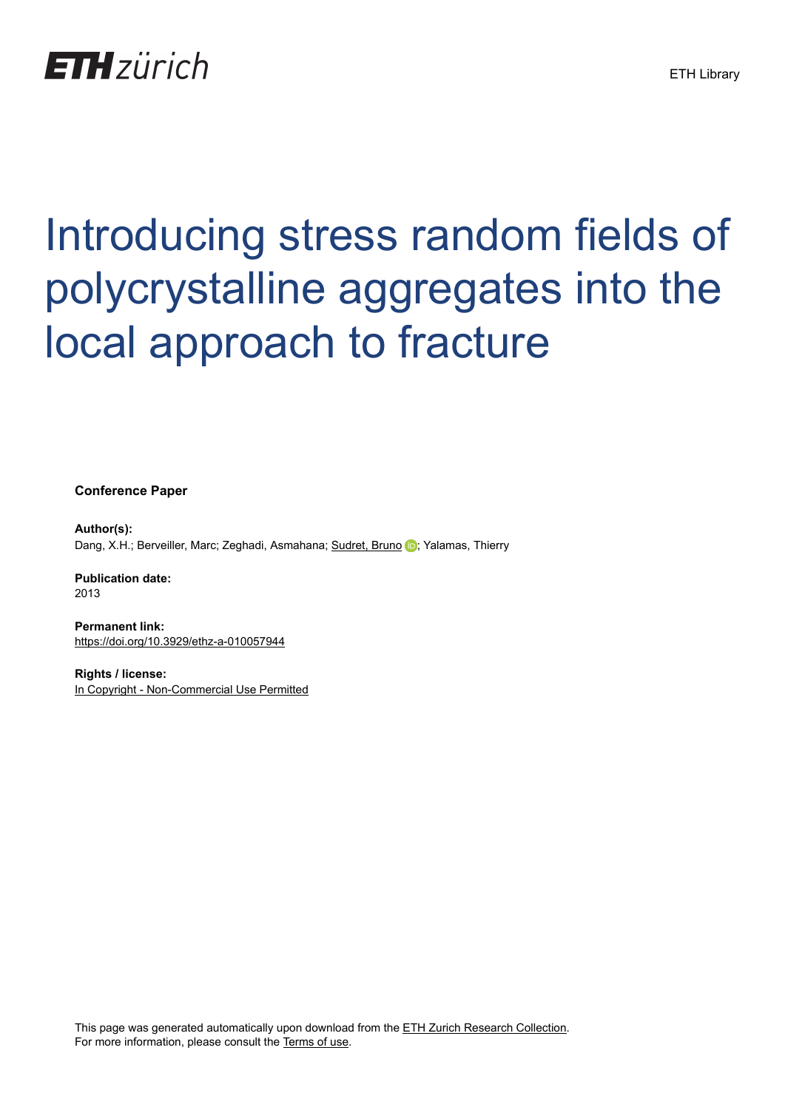

# Introducing stress random fields of polycrystalline aggregates into the local approach to fracture

**Conference Paper**

**Author(s):** Dang, X.H.; Berveiller, Marc; Zeghadi, Asmahana; [Sudret, Bruno](https://orcid.org/0000-0002-9501-7395) D; Yalamas, Thierry

**Publication date:** 2013

**Permanent link:** <https://doi.org/10.3929/ethz-a-010057944>

**Rights / license:** [In Copyright - Non-Commercial Use Permitted](http://rightsstatements.org/page/InC-NC/1.0/)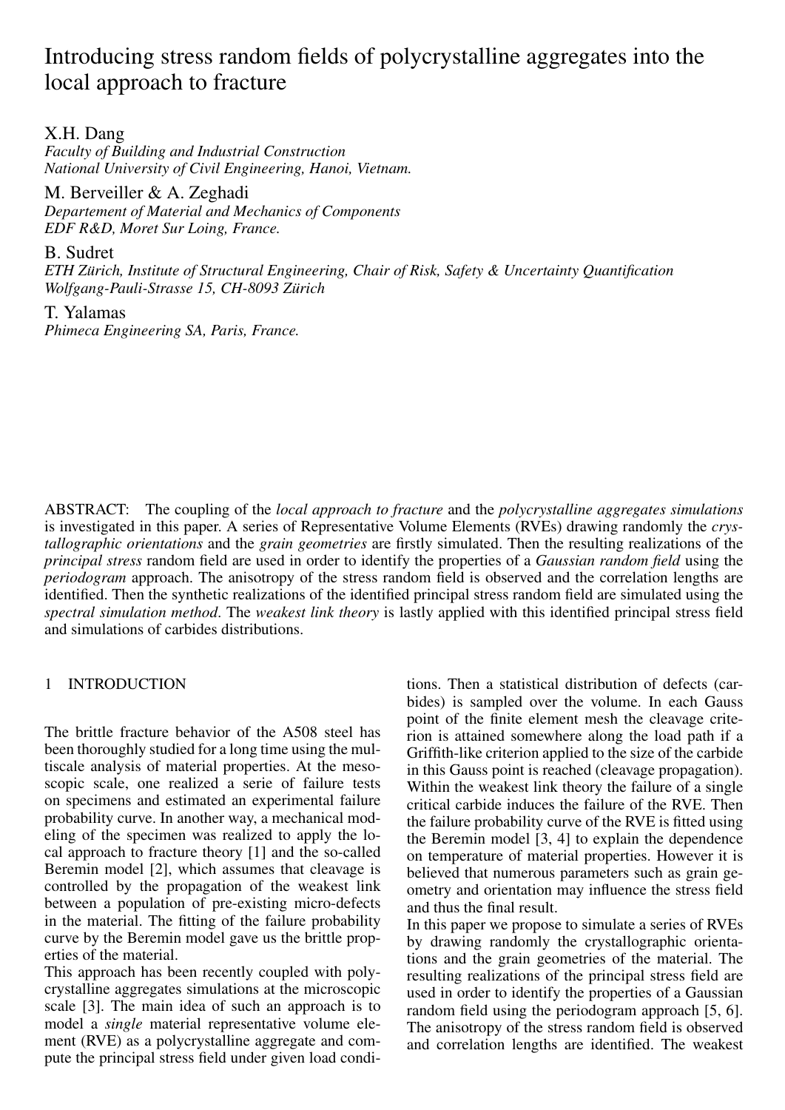# Introducing stress random fields of polycrystalline aggregates into the local approach to fracture

X.H. Dang

*Faculty of Building and Industrial Construction National University of Civil Engineering, Hanoi, Vietnam.*

M. Berveiller & A. Zeghadi *Departement of Material and Mechanics of Components EDF R&D, Moret Sur Loing, France.*

B. Sudret

*ETH Zurich, Institute of Structural Engineering, Chair of Risk, Safety & Uncertainty Quantification ¨ Wolfgang-Pauli-Strasse 15, CH-8093 Zurich ¨*

T. Yalamas *Phimeca Engineering SA, Paris, France.*

ABSTRACT: The coupling of the *local approach to fracture* and the *polycrystalline aggregates simulations* is investigated in this paper. A series of Representative Volume Elements (RVEs) drawing randomly the *crystallographic orientations* and the *grain geometries* are firstly simulated. Then the resulting realizations of the *principal stress* random field are used in order to identify the properties of a *Gaussian random field* using the *periodogram* approach. The anisotropy of the stress random field is observed and the correlation lengths are identified. Then the synthetic realizations of the identified principal stress random field are simulated using the *spectral simulation method*. The *weakest link theory* is lastly applied with this identified principal stress field and simulations of carbides distributions.

# 1 INTRODUCTION

The brittle fracture behavior of the A508 steel has been thoroughly studied for a long time using the multiscale analysis of material properties. At the mesoscopic scale, one realized a serie of failure tests on specimens and estimated an experimental failure probability curve. In another way, a mechanical modeling of the specimen was realized to apply the local approach to fracture theory [1] and the so-called Beremin model [2], which assumes that cleavage is controlled by the propagation of the weakest link between a population of pre-existing micro-defects in the material. The fitting of the failure probability curve by the Beremin model gave us the brittle properties of the material.

This approach has been recently coupled with polycrystalline aggregates simulations at the microscopic scale [3]. The main idea of such an approach is to model a *single* material representative volume element (RVE) as a polycrystalline aggregate and compute the principal stress field under given load conditions. Then a statistical distribution of defects (carbides) is sampled over the volume. In each Gauss point of the finite element mesh the cleavage criterion is attained somewhere along the load path if a Griffith-like criterion applied to the size of the carbide in this Gauss point is reached (cleavage propagation). Within the weakest link theory the failure of a single critical carbide induces the failure of the RVE. Then the failure probability curve of the RVE is fitted using the Beremin model [3, 4] to explain the dependence on temperature of material properties. However it is believed that numerous parameters such as grain geometry and orientation may influence the stress field and thus the final result.

In this paper we propose to simulate a series of RVEs by drawing randomly the crystallographic orientations and the grain geometries of the material. The resulting realizations of the principal stress field are used in order to identify the properties of a Gaussian random field using the periodogram approach [5, 6]. The anisotropy of the stress random field is observed and correlation lengths are identified. The weakest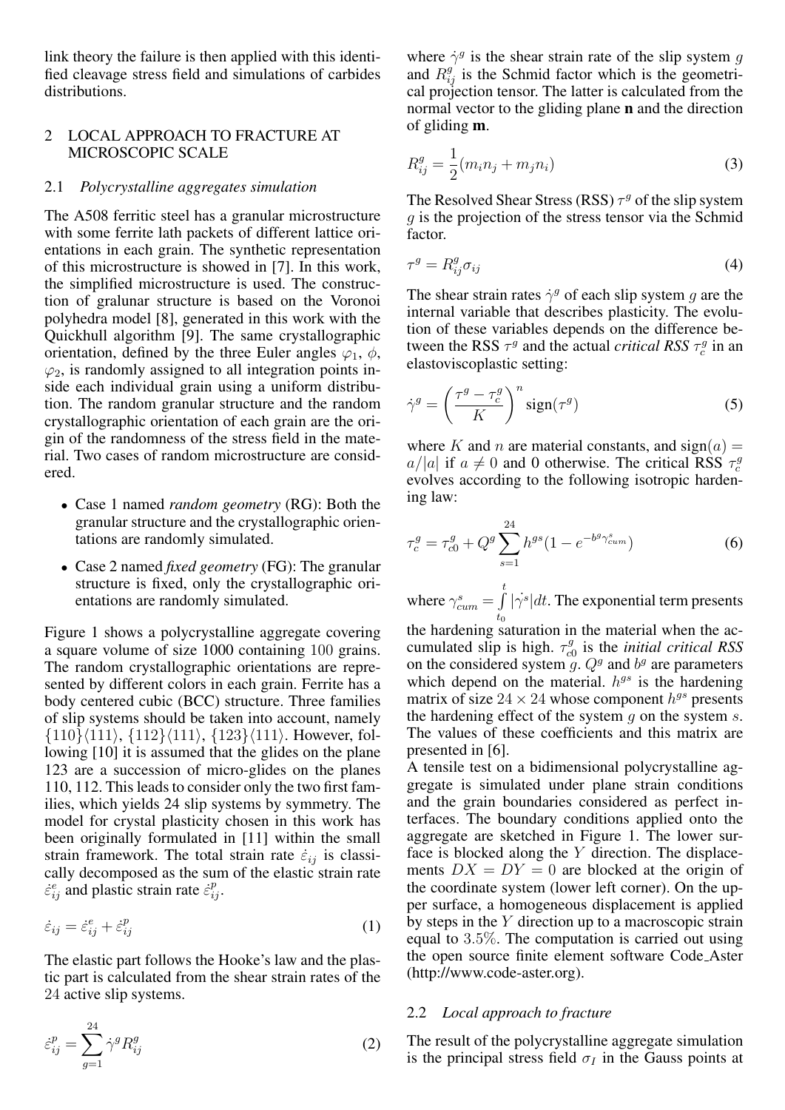link theory the failure is then applied with this identified cleavage stress field and simulations of carbides distributions.

# 2 LOCAL APPROACH TO FRACTURE AT MICROSCOPIC SCALE

# 2.1 *Polycrystalline aggregates simulation*

The A508 ferritic steel has a granular microstructure with some ferrite lath packets of different lattice orientations in each grain. The synthetic representation of this microstructure is showed in [7]. In this work, the simplified microstructure is used. The construction of gralunar structure is based on the Voronoi polyhedra model [8], generated in this work with the Quickhull algorithm [9]. The same crystallographic orientation, defined by the three Euler angles  $\varphi_1$ ,  $\phi$ ,  $\varphi_2$ , is randomly assigned to all integration points inside each individual grain using a uniform distribution. The random granular structure and the random crystallographic orientation of each grain are the origin of the randomness of the stress field in the material. Two cases of random microstructure are considered.

- Case 1 named *random geometry* (RG): Both the granular structure and the crystallographic orientations are randomly simulated.
- Case 2 named *fixed geometry* (FG): The granular structure is fixed, only the crystallographic orientations are randomly simulated.

Figure 1 shows a polycrystalline aggregate covering a square volume of size 1000 containing 100 grains. The random crystallographic orientations are represented by different colors in each grain. Ferrite has a body centered cubic (BCC) structure. Three families of slip systems should be taken into account, namely  $\{110\}\langle111\rangle, \{112\}\langle111\rangle, \{123\}\langle111\rangle.$  However, following [10] it is assumed that the glides on the plane 123 are a succession of micro-glides on the planes 110, 112. This leads to consider only the two first families, which yields 24 slip systems by symmetry. The model for crystal plasticity chosen in this work has been originally formulated in [11] within the small strain framework. The total strain rate  $\dot{\varepsilon}_{ij}$  is classically decomposed as the sum of the elastic strain rate  $\dot{\varepsilon}_{ij}^e$  and plastic strain rate  $\dot{\varepsilon}_{ij}^p$ .

$$
\dot{\varepsilon}_{ij} = \dot{\varepsilon}_{ij}^e + \dot{\varepsilon}_{ij}^p \tag{1}
$$

The elastic part follows the Hooke's law and the plastic part is calculated from the shear strain rates of the 24 active slip systems.

$$
\varepsilon_{ij}^p = \sum_{g=1}^{24} \dot{\gamma}^g R_{ij}^g \tag{2}
$$

where  $\dot{\gamma}^g$  is the shear strain rate of the slip system g and  $R_{ij}^{g'}$  is the Schmid factor which is the geometrical projection tensor. The latter is calculated from the normal vector to the gliding plane n and the direction of gliding m.

$$
R_{ij}^{g} = \frac{1}{2}(m_i n_j + m_j n_i)
$$
\n(3)

The Resolved Shear Stress (RSS)  $\tau^g$  of the slip system  $q$  is the projection of the stress tensor via the Schmid factor.

$$
\tau^g = R^g_{ij} \sigma_{ij} \tag{4}
$$

The shear strain rates  $\dot{\gamma}^g$  of each slip system g are the internal variable that describes plasticity. The evolution of these variables depends on the difference between the RSS  $\tau^g$  and the actual *critical RSS*  $\tau_c^g$  in an elastoviscoplastic setting:

$$
\dot{\gamma}^g = \left(\frac{\tau^g - \tau_c^g}{K}\right)^n \text{sign}(\tau^g) \tag{5}
$$

where K and n are material constants, and  $sign(a) =$  $a/|a|$  if  $a \neq 0$  and 0 otherwise. The critical RSS  $\tau_c^g$ evolves according to the following isotropic hardening law:

$$
\tau_c^g = \tau_{c0}^g + Q^g \sum_{s=1}^{24} h^{gs} (1 - e^{-b^g \gamma_{cum}^s})
$$
 (6)

where  $\gamma_{cum}^s = \int_a^t$  $t_0$  $|\dot{\gamma}s|dt$ . The exponential term presents

the hardening saturation in the material when the accumulated slip is high.  $\tau_{c}^{g}$ c0 is the *initial critical RSS* on the considered system g.  $Q^g$  and  $b^g$  are parameters which depend on the material.  $h^{gs}$  is the hardening matrix of size  $24 \times 24$  whose component  $h^{gs}$  presents the hardening effect of the system q on the system  $s$ . The values of these coefficients and this matrix are presented in [6].

A tensile test on a bidimensional polycrystalline aggregate is simulated under plane strain conditions and the grain boundaries considered as perfect interfaces. The boundary conditions applied onto the aggregate are sketched in Figure 1. The lower surface is blocked along the Y direction. The displacements  $DX = DY = 0$  are blocked at the origin of the coordinate system (lower left corner). On the upper surface, a homogeneous displacement is applied by steps in the  $Y$  direction up to a macroscopic strain equal to 3.5%. The computation is carried out using the open source finite element software Code Aster (http://www.code-aster.org).

#### 2.2 *Local approach to fracture*

The result of the polycrystalline aggregate simulation is the principal stress field  $\sigma_I$  in the Gauss points at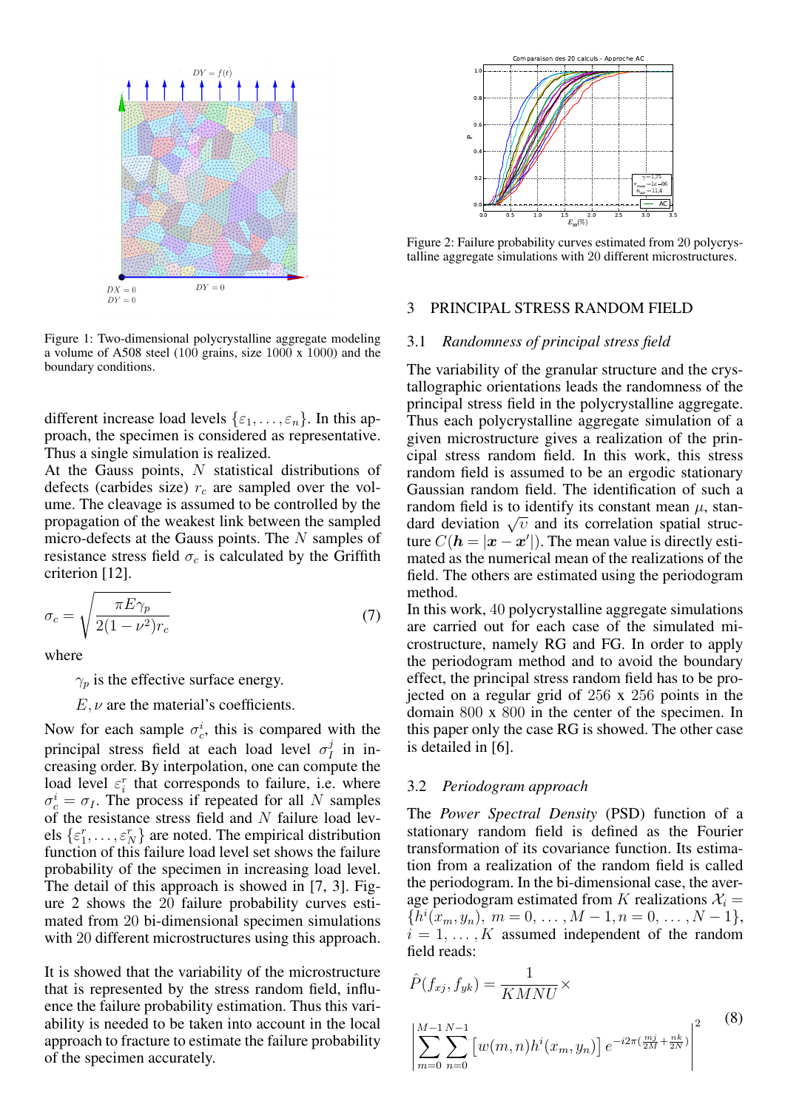

Figure 1: Two-dimensional polycrystalline aggregate modeling a volume of A508 steel (100 grains, size 1000 x 1000) and the boundary conditions.

different increase load levels  $\{\varepsilon_1, \ldots, \varepsilon_n\}$ . In this approach, the specimen is considered as representative. Thus a single simulation is realized.

At the Gauss points,  $N$  statistical distributions of defects (carbides size)  $r_c$  are sampled over the volume. The cleavage is assumed to be controlled by the propagation of the weakest link between the sampled micro-defects at the Gauss points. The N samples of resistance stress field  $\sigma_c$  is calculated by the Griffith criterion [12].

$$
\sigma_c = \sqrt{\frac{\pi E \gamma_p}{2(1 - \nu^2)r_c}}
$$
\n(7)

where

 $\gamma_p$  is the effective surface energy.

 $E, \nu$  are the material's coefficients.

Now for each sample  $\sigma_c^i$ , this is compared with the principal stress field at each load level  $\sigma_l^j$  $I$  in increasing order. By interpolation, one can compute the load level  $\varepsilon_i^r$  that corresponds to failure, i.e. where  $\sigma_c^i = \sigma_I$ . The process if repeated for all N samples of the resistance stress field and  $N$  failure load levels  $\{\varepsilon_1^r, \ldots, \varepsilon_N^r\}$  are noted. The empirical distribution function of this failure load level set shows the failure probability of the specimen in increasing load level. The detail of this approach is showed in [7, 3]. Figure 2 shows the 20 failure probability curves estimated from 20 bi-dimensional specimen simulations with 20 different microstructures using this approach. Figure 2: Failure 2: Failure 2: Failure 2: Failure 2: Failure 2: Failure 2: Failure 2: Failure 2: Failure 2: Failure 2: Failure 2: Failure 2: Failure 2: Failure 2: Failure 2: Failure 2: Failure 2: Failure 2: Failure 2: Fa

It is showed that the variability of the microstructure that is represented by the stress random field, influence the failure probability estimation. Thus this variability is needed to be taken into account in the local approach to fracture to estimate the failure probability



Figure 2: Failure probability curves estimated from 20 polycrystalline aggregate simulations with 20 different microstructures.

#### 3 PRINCIPAL STRESS RANDOM FIELD

#### 3.1 *Randomness of principal stress field*

The variability of the granular structure and the crystallographic orientations leads the randomness of the principal stress field in the polycrystalline aggregate. Thus each polycrystalline aggregate simulation of a given microstructure gives a realization of the principal stress random field. In this work, this stress random field is assumed to be an ergodic stationary Gaussian random field. The identification of such a random field is to identify its constant mean  $\mu$ , stanrandom neid is to identify its constant mean  $\mu$ , standard deviation  $\sqrt{v}$  and its correlation spatial structure  $C(h = |\mathbf{x} - \mathbf{x}'|)$ . The mean value is directly estimated as the numerical mean of the realizations of the field. The others are estimated using the periodogram method.

In this work, 40 polycrystalline aggregate simulations are carried out for each case of the simulated microstructure, namely RG and FG. In order to apply the periodogram method and to avoid the boundary effect, the principal stress random field has to be projected on a regular grid of 256 x 256 points in the domain 800 x 800 in the center of the specimen. In this paper only the case RG is showed. The other case is detailed in [6].

#### 3.2 *Periodogram approach*

The *Power Spectral Density* (PSD) function of a stationary random field is defined as the Fourier transformation of its covariance function. Its estimation from a realization of the random field is called the periodogram. In the bi-dimensional case, the average periodogram estimated from K realizations  $\mathcal{X}_i =$  $\{\bar{h}^i(x_m, y_n), m = 0, \ldots, M-1, n = 0, \ldots, N-1\},\$  $i = 1, \dots, K$  assumed independent of the random field reads:

$$
\hat{P}(f_{xj}, f_{yk}) = \frac{1}{KMNU} \times \left| \sum_{m=0}^{M-1} \sum_{n=0}^{N-1} \left[ w(m,n)h^i(x_m, y_n) \right] e^{-i2\pi(\frac{mj}{2M} + \frac{nk}{2N})} \right|^2 \tag{8}
$$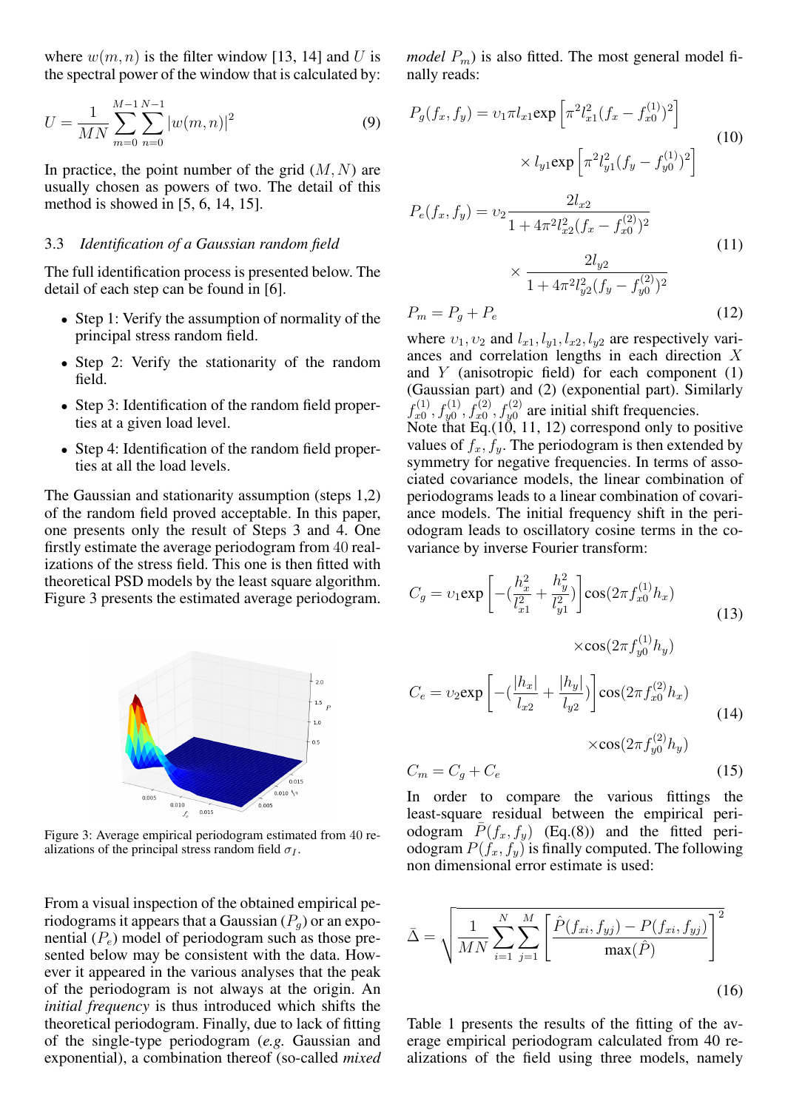where  $w(m, n)$  is the filter window [13, 14] and U is the spectral power of the window that is calculated by:

$$
U = \frac{1}{MN} \sum_{m=0}^{M-1} \sum_{n=0}^{N-1} |w(m,n)|^2
$$
 (9)

In practice, the point number of the grid  $(M, N)$  are usually chosen as powers of two. The detail of this method is showed in [5, 6, 14, 15].

#### 3.3 *Identification of a Gaussian random field*

The full identification process is presented below. The detail of each step can be found in [6].

- Step 1: Verify the assumption of normality of the principal stress random field.
- Step 2: Verify the stationarity of the random field.
- Step 3: Identification of the random field properties at a given load level.
- Step 4: Identification of the random field properties at all the load levels.

The Gaussian and stationarity assumption (steps 1,2) of the random field proved acceptable. In this paper, one presents only the result of Steps 3 and 4. One firstly estimate the average periodogram from 40 realizations of the stress field. This one is then fitted with theoretical PSD models by the least square algorithm. Figure 3 presents the estimated average periodogram.



Figure 3: Average empirical periodogram estimated from 40 realizations of the principal stress random field  $\sigma_I$ .

From a visual inspection of the obtained empirical periodograms it appears that a Gaussian  $(P_q)$  or an exponential  $(P_e)$  model of periodogram such as those presented below may be consistent with the data. However it appeared in the various analyses that the peak of the periodogram is not always at the origin. An *initial frequency* is thus introduced which shifts the theoretical periodogram. Finally, due to lack of fitting of the single-type periodogram (*e.g.* Gaussian and exponential), a combination thereof (so-called *mixed* *model*  $P_m$ ) is also fitted. The most general model finally reads:

$$
P_g(f_x, f_y) = v_1 \pi l_{x1} \exp\left[\pi^2 l_{x1}^2 (f_x - f_{x0}^{(1)})^2\right]
$$
  
 
$$
\times l_{y1} \exp\left[\pi^2 l_{y1}^2 (f_y - f_{y0}^{(1)})^2\right]
$$
 (10)

$$
P_e(f_x, f_y) = v_2 \frac{2l_{x2}}{1 + 4\pi^2 l_{x2}^2 (f_x - f_{x0}^{(2)})^2}
$$
  

$$
\times \frac{2l_{y2}}{1 + 4\pi^2 l_{y2}^2 (f_y - f_{y0}^{(2)})^2}
$$
(11)

$$
P_m = P_g + P_e \tag{12}
$$

where  $v_1, v_2$  and  $l_{x1}, l_{y1}, l_{x2}, l_{y2}$  are respectively variances and correlation lengths in each direction X and  $Y$  (anisotropic field) for each component  $(1)$ (Gaussian part) and (2) (exponential part). Similarly  $f_{x0}^{(1)}$  $x_{x0}^{(1)}, f_{y0}^{(1)}, f_{x0}^{(2)}, f_{y0}^{(2)}$  are initial shift frequencies.

Note that Eq.(10, 11, 12) correspond only to positive values of  $f_x, f_y$ . The periodogram is then extended by symmetry for negative frequencies. In terms of associated covariance models, the linear combination of periodograms leads to a linear combination of covariance models. The initial frequency shift in the periodogram leads to oscillatory cosine terms in the covariance by inverse Fourier transform:

$$
C_g = v_1 \exp\left[-\left(\frac{h_x^2}{l_{x1}^2} + \frac{h_y^2}{l_{y1}^2}\right)\right] \cos(2\pi f_{x0}^{(1)} h_x)
$$
  
 
$$
\times \cos(2\pi f_{y0}^{(1)} h_y)
$$
 (13)

$$
C_e = v_2 \exp\left[-\left(\frac{|h_x|}{l_{x2}} + \frac{|h_y|}{l_{y2}}\right)\right] \cos(2\pi f_{x0}^{(2)} h_x)
$$
  
 
$$
\times \cos(2\pi f_{y0}^{(2)} h_y)
$$
 (14)

$$
C_m = C_g + C_e \tag{15}
$$

In order to compare the various fittings the least-square residual between the empirical periodogram  $P(f_x, f_y)$  (Eq.(8)) and the fitted periodogram  $P(f_x, f_y)$  is finally computed. The following non dimensional error estimate is used:

$$
\bar{\Delta} = \sqrt{\frac{1}{MN} \sum_{i=1}^{N} \sum_{j=1}^{M} \left[ \frac{\hat{P}(f_{xi}, f_{yj}) - P(f_{xi}, f_{yj})}{\max(\hat{P})} \right]^2}
$$
(16)

Table 1 presents the results of the fitting of the average empirical periodogram calculated from 40 realizations of the field using three models, namely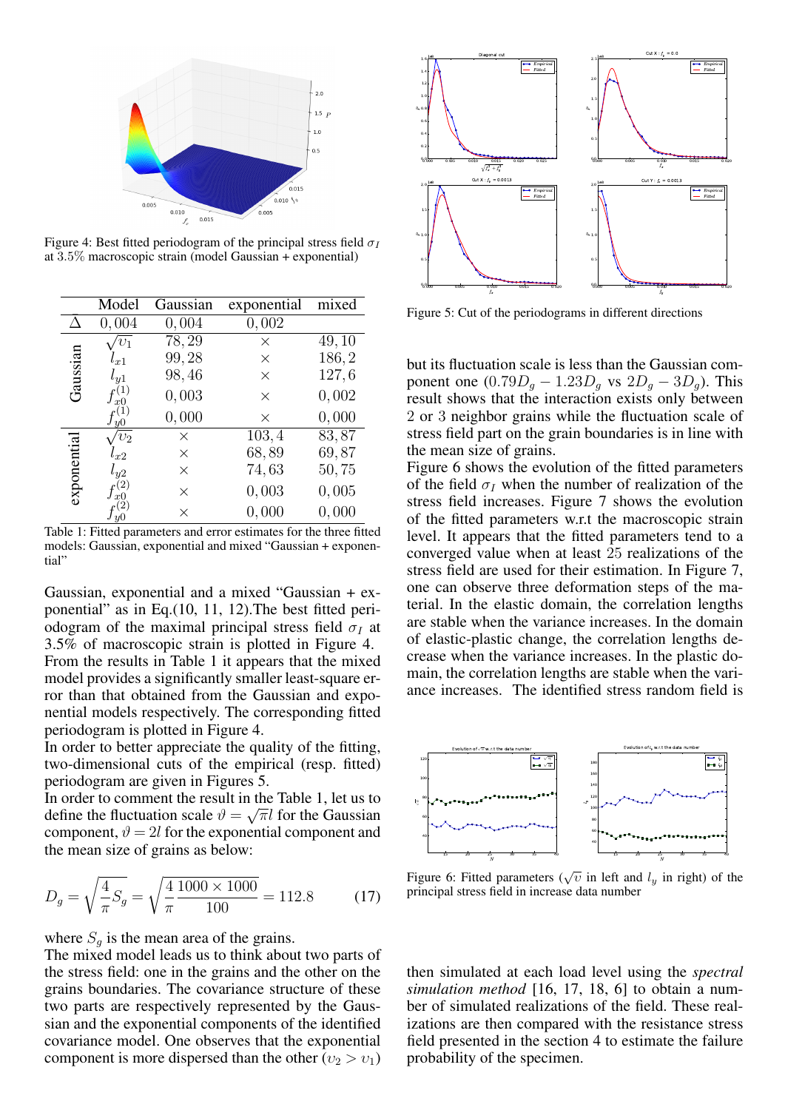

Figure 4: Best fitted periodogram of the principal stress field  $\sigma_I$ at 3.5% macroscopic strain (model Gaussian + exponential)

|             | Model             | Gaussian           | exponential | mixed |
|-------------|-------------------|--------------------|-------------|-------|
|             | 0,004             | 0,004              | 0,002       |       |
| Gaussian    | $\overline{v}_1$  | $\overline{78,29}$ | $\times$    | 49,10 |
|             | $l_{x1}$          | 99,28              | $\times$    | 186,2 |
|             | $l_{y1}$          | 98,46              | $\times$    | 127,6 |
|             | x0                | 0,003              | $\times$    | 0,002 |
|             | u <sub>0</sub>    | 0,000              | $\times$    | 0,000 |
| exponential | $v_2$             | $\times$           | 103, 4      | 83,87 |
|             | $l_{x2}$          | $\times$           | 68,89       | 69,87 |
|             | $l_{y2}$          | $\times$           | 74,63       | 50,75 |
|             | (2)<br>$x \Omega$ | $\times$           | 0,003       | 0,005 |
|             |                   | $\times$           | 0,000       | 0,000 |

Table 1: Fitted parameters and error estimates for the three fitted models: Gaussian, exponential and mixed "Gaussian + exponential"

Gaussian, exponential and a mixed "Gaussian + exponential" as in Eq.(10, 11, 12).The best fitted periodogram of the maximal principal stress field  $\sigma_I$  at 3.5% of macroscopic strain is plotted in Figure 4. From the results in Table 1 it appears that the mixed model provides a significantly smaller least-square error than that obtained from the Gaussian and exponential models respectively. The corresponding fitted periodogram is plotted in Figure 4.

In order to better appreciate the quality of the fitting, two-dimensional cuts of the empirical (resp. fitted) periodogram are given in Figures 5.

In order to comment the result in the Table 1, let us to define the fluctuation scale  $\vartheta = \sqrt{\pi}l$  for the Gaussian component,  $\vartheta = 2l$  for the exponential component and the mean size of grains as below:

$$
D_g = \sqrt{\frac{4}{\pi} S_g} = \sqrt{\frac{4}{\pi} \frac{1000 \times 1000}{100}} = 112.8
$$
 (17)

where  $S_g$  is the mean area of the grains.

The mixed model leads us to think about two parts of the stress field: one in the grains and the other on the grains boundaries. The covariance structure of these two parts are respectively represented by the Gaussian and the exponential components of the identified covariance model. One observes that the exponential component is more dispersed than the other  $(v_2 > v_1)$ 



Figure 5: Cut of the periodograms in different directions

but its fluctuation scale is less than the Gaussian component one  $(0.79D<sub>g</sub> - 1.23D<sub>g</sub>$  vs  $2D<sub>g</sub> - 3D<sub>g</sub>$ ). This result shows that the interaction exists only between 2 or 3 neighbor grains while the fluctuation scale of stress field part on the grain boundaries is in line with the mean size of grains.

Figure 6 shows the evolution of the fitted parameters of the field  $\sigma_I$  when the number of realization of the stress field increases. Figure 7 shows the evolution of the fitted parameters w.r.t the macroscopic strain level. It appears that the fitted parameters tend to a converged value when at least 25 realizations of the stress field are used for their estimation. In Figure 7, one can observe three deformation steps of the material. In the elastic domain, the correlation lengths are stable when the variance increases. In the domain of elastic-plastic change, the correlation lengths decrease when the variance increases. In the plastic domain, the correlation lengths are stable when the variance increases. The identified stress random field is



Figure 6: Fitted parameters ( $\sqrt{v}$  in left and  $l_y$  in right) of the principal stress field in increase data number

then simulated at each load level using the *spectral simulation method* [16, 17, 18, 6] to obtain a number of simulated realizations of the field. These realizations are then compared with the resistance stress field presented in the section 4 to estimate the failure probability of the specimen.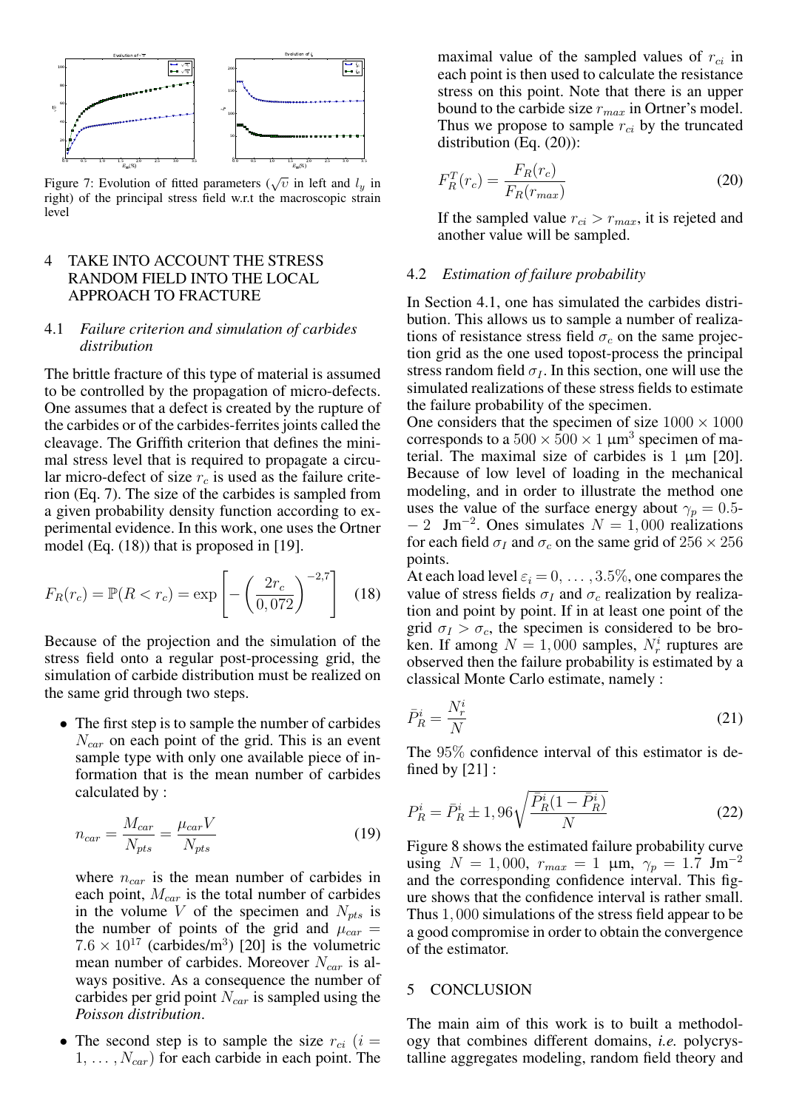

Figure 7: Evolution of fitted parameters ( $\sqrt{v}$  in left and  $l_y$  in right) of the principal stress field w.r.t the macroscopic strain level

# 4 TAKE INTO ACCOUNT THE STRESS RANDOM FIELD INTO THE LOCAL APPROACH TO FRACTURE

# 4.1 *Failure criterion and simulation of carbides distribution*

The brittle fracture of this type of material is assumed to be controlled by the propagation of micro-defects. One assumes that a defect is created by the rupture of the carbides or of the carbides-ferrites joints called the cleavage. The Griffith criterion that defines the minimal stress level that is required to propagate a circular micro-defect of size  $r_c$  is used as the failure criterion (Eq. 7). The size of the carbides is sampled from a given probability density function according to experimental evidence. In this work, one uses the Ortner model (Eq. (18)) that is proposed in [19].

$$
F_R(r_c) = \mathbb{P}(R < r_c) = \exp\left[-\left(\frac{2r_c}{0.072}\right)^{-2.7}\right]
$$
 (18)

Because of the projection and the simulation of the stress field onto a regular post-processing grid, the simulation of carbide distribution must be realized on the same grid through two steps.

• The first step is to sample the number of carbides  $N_{car}$  on each point of the grid. This is an event sample type with only one available piece of information that is the mean number of carbides calculated by :

$$
n_{car} = \frac{M_{car}}{N_{pts}} = \frac{\mu_{car} V}{N_{pts}} \tag{19}
$$

where  $n_{car}$  is the mean number of carbides in each point,  $M_{car}$  is the total number of carbides in the volume V of the specimen and  $N_{pts}$  is the number of points of the grid and  $\mu_{car}$  =  $7.6 \times 10^{17}$  (carbides/m<sup>3</sup>) [20] is the volumetric mean number of carbides. Moreover  $N_{car}$  is always positive. As a consequence the number of carbides per grid point  $N_{car}$  is sampled using the *Poisson distribution*.

• The second step is to sample the size  $r_{ci}$  (i =  $1, \ldots, N_{car}$  for each carbide in each point. The maximal value of the sampled values of  $r_{ci}$  in each point is then used to calculate the resistance stress on this point. Note that there is an upper bound to the carbide size  $r_{max}$  in Ortner's model. Thus we propose to sample  $r_{ci}$  by the truncated distribution (Eq. (20)):

$$
F_R^T(r_c) = \frac{F_R(r_c)}{F_R(r_{max})}
$$
\n(20)

If the sampled value  $r_{ci} > r_{max}$ , it is rejeted and another value will be sampled.

#### 4.2 *Estimation of failure probability*

In Section 4.1, one has simulated the carbides distribution. This allows us to sample a number of realizations of resistance stress field  $\sigma_c$  on the same projection grid as the one used topost-process the principal stress random field  $\sigma_I$ . In this section, one will use the simulated realizations of these stress fields to estimate the failure probability of the specimen.

One considers that the specimen of size  $1000 \times 1000$ corresponds to a  $500 \times 500 \times 1 \ \mu m^3$  specimen of material. The maximal size of carbides is  $1 \mu m$  [20]. Because of low level of loading in the mechanical modeling, and in order to illustrate the method one uses the value of the surface energy about  $\gamma_p = 0.5$ - $-2$  Jm<sup>-2</sup>. Ones simulates  $N = 1,000$  realizations for each field  $\sigma_I$  and  $\sigma_c$  on the same grid of  $256 \times 256$ points.

At each load level  $\varepsilon_i = 0, \ldots, 3.5\%$ , one compares the value of stress fields  $\sigma_I$  and  $\sigma_c$  realization by realization and point by point. If in at least one point of the grid  $\sigma_I > \sigma_c$ , the specimen is considered to be broken. If among  $N = 1,000$  samples,  $N_r^i$  ruptures are observed then the failure probability is estimated by a classical Monte Carlo estimate, namely :

$$
\bar{P}_R^i = \frac{N_r^i}{N} \tag{21}
$$

The 95% confidence interval of this estimator is defined by [21] :

$$
P_R^i = \bar{P}_R^i \pm 1,96\sqrt{\frac{\bar{P}_R^i(1-\bar{P}_R^i)}{N}}
$$
\n(22)

Figure 8 shows the estimated failure probability curve using  $N = 1,000$ ,  $r_{max} = 1$  µm,  $\gamma_p = 1.7$  Jm<sup>-2</sup> and the corresponding confidence interval. This figure shows that the confidence interval is rather small. Thus 1, 000 simulations of the stress field appear to be a good compromise in order to obtain the convergence of the estimator.

# 5 CONCLUSION

The main aim of this work is to built a methodology that combines different domains, *i.e.* polycrystalline aggregates modeling, random field theory and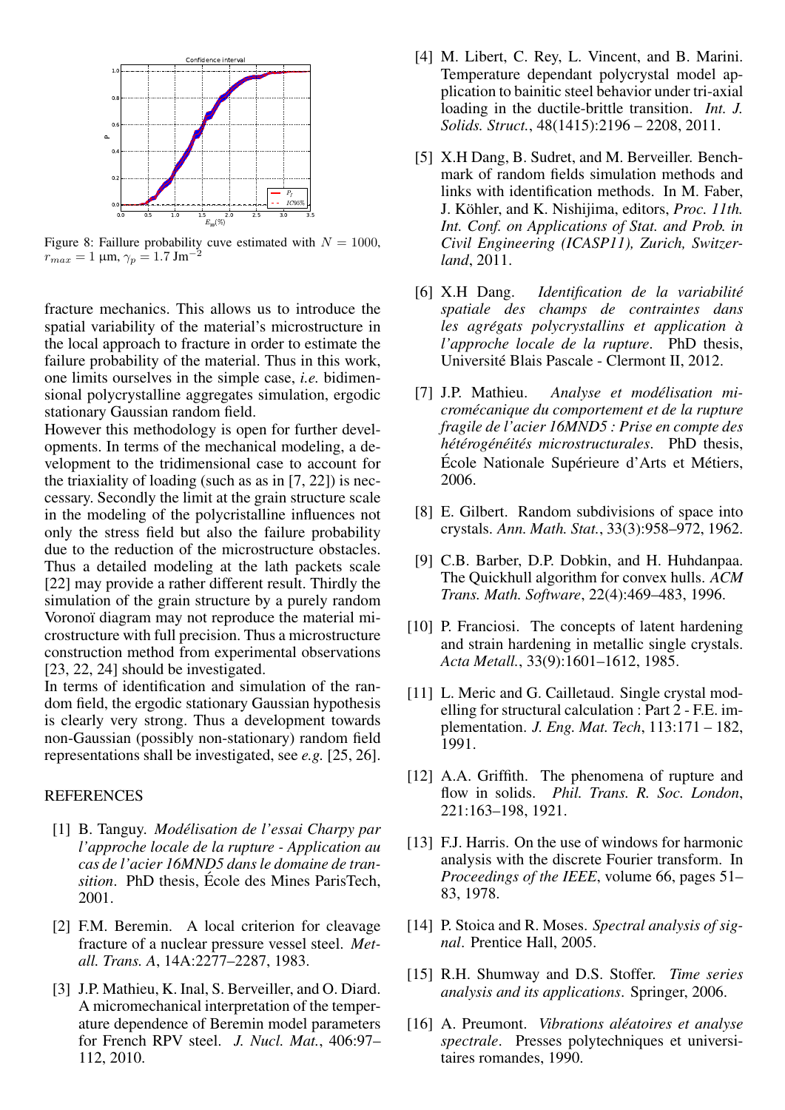

Figure 8: Faillure probability cuve estimated with  $N = 1000$ ,<br> $r = -1$  um  $\alpha = 1.7$   $\text{Im}^{-2}$  $r_{max} = 1 \text{ }\mu\text{m}, \gamma_p = 1.7 \text{ Jm}^{-1}$ 

fracture mechanics. This allows us to introduce the spatial variability of the material's microstructure in the local approach to fracture in order to estimate the failure probability of the material. Thus in this work, one limits ourselves in the simple case, *i.e.* bidimensional polycrystalline aggregates simulation, ergodic stationary Gaussian random field.

However this methodology is open for further developments. In terms of the mechanical modeling, a development to the tridimensional case to account for the triaxiality of loading (such as as in [7, 22]) is neccessary. Secondly the limit at the grain structure scale in the modeling of the polycristalline influences not only the stress field but also the failure probability due to the reduction of the microstructure obstacles. Thus a detailed modeling at the lath packets scale [22] may provide a rather different result. Thirdly the simulation of the grain structure by a purely random Voronoï diagram may not reproduce the material microstructure with full precision. Thus a microstructure construction method from experimental observations [23, 22, 24] should be investigated.

In terms of identification and simulation of the random field, the ergodic stationary Gaussian hypothesis is clearly very strong. Thus a development towards non-Gaussian (possibly non-stationary) random field representations shall be investigated, see *e.g.* [25, 26].

# **REFERENCES**

- [1] B. Tanguy. *Modelisation de l'essai Charpy par ´ l'approche locale de la rupture - Application au cas de l'acier 16MND5 dans le domaine de transition*. PhD thesis, Ecole des Mines ParisTech, ´ 2001.
- [2] F.M. Beremin. A local criterion for cleavage fracture of a nuclear pressure vessel steel. *Metall. Trans. A*, 14A:2277–2287, 1983.
- [3] J.P. Mathieu, K. Inal, S. Berveiller, and O. Diard. A micromechanical interpretation of the temperature dependence of Beremin model parameters for French RPV steel. *J. Nucl. Mat.*, 406:97– 112, 2010.
- [4] M. Libert, C. Rey, L. Vincent, and B. Marini. Temperature dependant polycrystal model application to bainitic steel behavior under tri-axial loading in the ductile-brittle transition. *Int. J. Solids. Struct.*, 48(1415):2196 – 2208, 2011.
- [5] X.H Dang, B. Sudret, and M. Berveiller. Benchmark of random fields simulation methods and links with identification methods. In M. Faber, J. Köhler, and K. Nishijima, editors, *Proc. 11th. Int. Conf. on Applications of Stat. and Prob. in Civil Engineering (ICASP11), Zurich, Switzerland*, 2011.
- [6] X.H Dang. *Identification de la variabilite´ spatiale des champs de contraintes dans les agrégats polycrystallins et application à l'approche locale de la rupture*. PhD thesis, Universite Blais Pascale - Clermont II, 2012. ´
- [7] J.P. Mathieu. *Analyse et modelisation mi- ´ cromecanique du comportement et de la rupture ´ fragile de l'acier 16MND5 : Prise en compte des hétérogénéités microstructurales*. PhD thesis, École Nationale Supérieure d'Arts et Métiers, 2006.
- [8] E. Gilbert. Random subdivisions of space into crystals. *Ann. Math. Stat.*, 33(3):958–972, 1962.
- [9] C.B. Barber, D.P. Dobkin, and H. Huhdanpaa. The Quickhull algorithm for convex hulls. *ACM Trans. Math. Software*, 22(4):469–483, 1996.
- [10] P. Franciosi. The concepts of latent hardening and strain hardening in metallic single crystals. *Acta Metall.*, 33(9):1601–1612, 1985.
- [11] L. Meric and G. Cailletaud. Single crystal modelling for structural calculation : Part 2 - F.E. implementation. *J. Eng. Mat. Tech*, 113:171 – 182, 1991.
- [12] A.A. Griffith. The phenomena of rupture and flow in solids. *Phil. Trans. R. Soc. London*, 221:163–198, 1921.
- [13] F.J. Harris. On the use of windows for harmonic analysis with the discrete Fourier transform. In *Proceedings of the IEEE*, volume 66, pages 51– 83, 1978.
- [14] P. Stoica and R. Moses. *Spectral analysis of signal*. Prentice Hall, 2005.
- [15] R.H. Shumway and D.S. Stoffer. *Time series analysis and its applications*. Springer, 2006.
- [16] A. Preumont. *Vibrations aleatoires et analyse ´ spectrale*. Presses polytechniques et universitaires romandes, 1990.